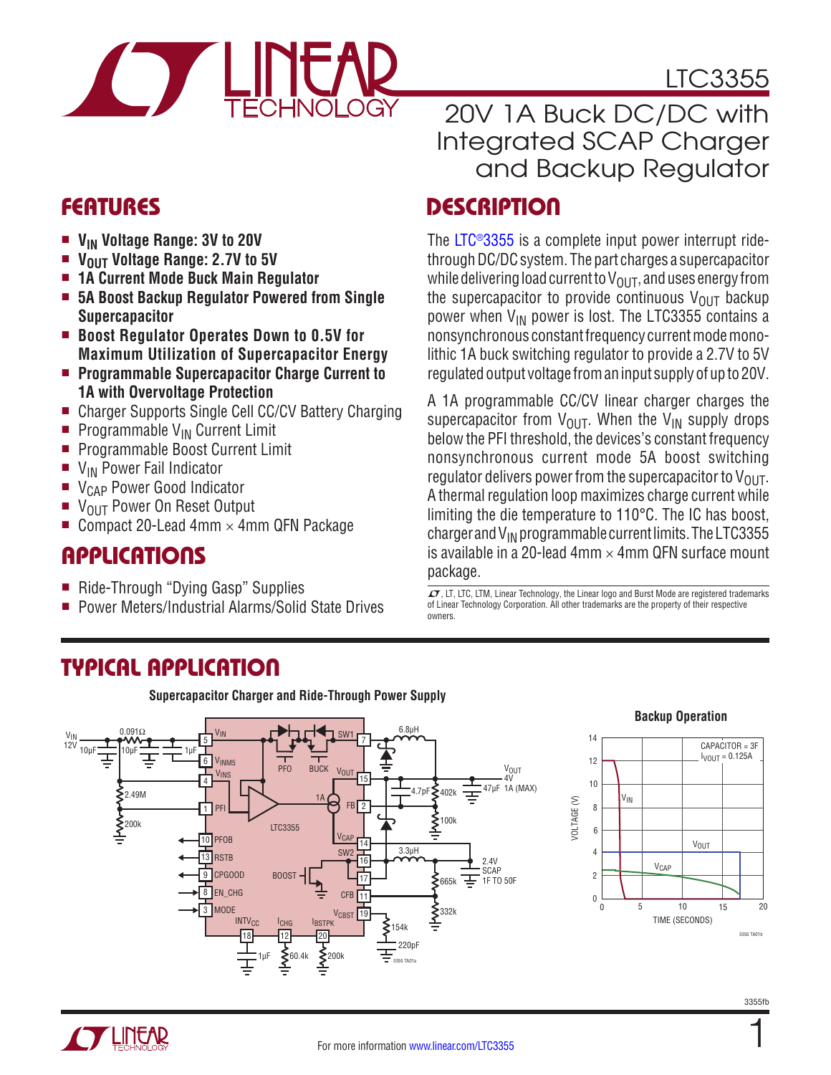

## LTC3355

### 20V 1A Buck DC/DC with Integrated SCAP Charger and Backup Regulator

### FEATURES DESCRIPTION

The [LTC®3355](http://www.linear.com/LTC3355) is a complete input power interrupt ridethrough DC/DC system. The part charges a supercapacitor while delivering load current to  $V_{\Omega I T}$ , and uses energy from the supercapacitor to provide continuous  $V_{\text{OUT}}$  backup power when  $V_{IN}$  power is lost. The LTC3355 contains a nonsynchronous constant frequency current mode monolithic 1A buck switching regulator to provide a 2.7V to 5V regulated output voltage from an input supply of up to 20V.

A 1A programmable CC/CV linear charger charges the supercapacitor from  $V_{\text{OUT}}$ . When the  $V_{\text{IN}}$  supply drops below the PFI threshold, the devices's constant frequency nonsynchronous current mode 5A boost switching regulator delivers power from the supercapacitor to  $V_{\text{OUT}}$ . A thermal regulation loop maximizes charge current while limiting the die temperature to 110°C. The IC has boost, charger and  $V_{IN}$  programmable current limits. The LTC3355 is available in a 20-lead 4mm  $\times$  4mm QFN surface mount package.

 $\mathcal{I}$ , LT, LTC, LTM, Linear Technology, the Linear logo and Burst Mode are registered trademarks of Linear Technology Corporation. All other trademarks are the property of their respective owners.

- **V<sub>IN</sub>** Voltage Range: 3V to 20V
- **VOUT Voltage Range: 2.7V to 5V**
- <sup>n</sup> **1A Current Mode Buck Main Regulator**
- 5A Boost Backup Regulator Powered from Single **Supercapacitor**
- Boost Regulator Operates Down to 0.5V for **Maximum Utilization of Supercapacitor Energy**
- Programmable Supercapacitor Charge Current to **1A with Overvoltage Protection**
- Charger Supports Single Cell CC/CV Battery Charging
- **Programmable V<sub>IN</sub> Current Limit**
- Programmable Boost Current Limit
- $\blacksquare$  V<sub>IN</sub> Power Fail Indicator
- $\bullet$  V<sub>CAP</sub> Power Good Indicator<br> $\bullet$  V<sub>OUT</sub> Power On Reset Outpu
- V<sub>OUT</sub> Power On Reset Output
- Compact 20-Lead 4mm  $\times$  4mm QFN Package

## **APPLICATIONS**

- Ride-Through "Dying Gasp" Supplies
- <sup>n</sup> Power Meters/Industrial Alarms/Solid State Drives

### TYPICAL APPLICATION

**Supercapacitor Charger and Ride-Through Power Supply**



#### **Backup Operation**

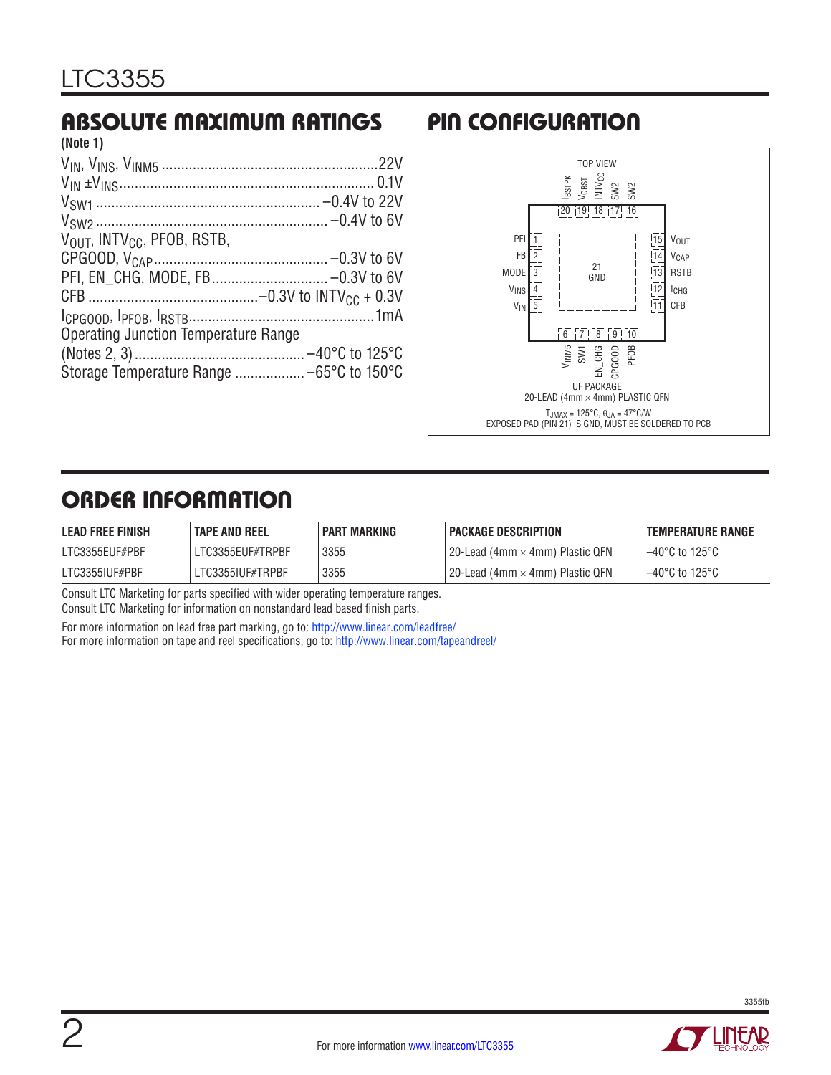#### ABSOLUTE MAXIMUM RATINGS PIN CONFIGURATION **(Note 1)**

| 11101G 11                                     |  |
|-----------------------------------------------|--|
|                                               |  |
|                                               |  |
|                                               |  |
|                                               |  |
| $V_{OUIT}$ , INTV <sub>CC</sub> , PFOB, RSTB, |  |
|                                               |  |
|                                               |  |
|                                               |  |
|                                               |  |
| <b>Operating Junction Temperature Range</b>   |  |
|                                               |  |
|                                               |  |
|                                               |  |



## ORDER INFORMATION

| <b>LEAD FREE FINISH</b> | <b>TAPE AND REEL</b> | <b>PART MARKING</b> | <b>PACKAGE DESCRIPTION</b>                    | <b>TEMPERATURE RANGE</b> |
|-------------------------|----------------------|---------------------|-----------------------------------------------|--------------------------|
| LTC3355EUF#PBF          | LTC3355EUF#TRPBF     | 3355                | l 20-Lead (4mm $\times$ 4mm) Plastic QFN $\,$ | $-40^{\circ}$ C to 125°C |
| LTC3355IUF#PBF          | LTC3355IUF#TRPBF     | 3355                | l 20-Lead (4mm $\times$ 4mm) Plastic QFN $\,$ | $-40^{\circ}$ C to 125°C |

Consult LTC Marketing for parts specified with wider operating temperature ranges.

Consult LTC Marketing for information on nonstandard lead based finish parts.

For more information on lead free part marking, go to: http://www.linear.com/leadfree/

For more information on tape and reel specifications, go to: http://www.linear.com/tapeandreel/

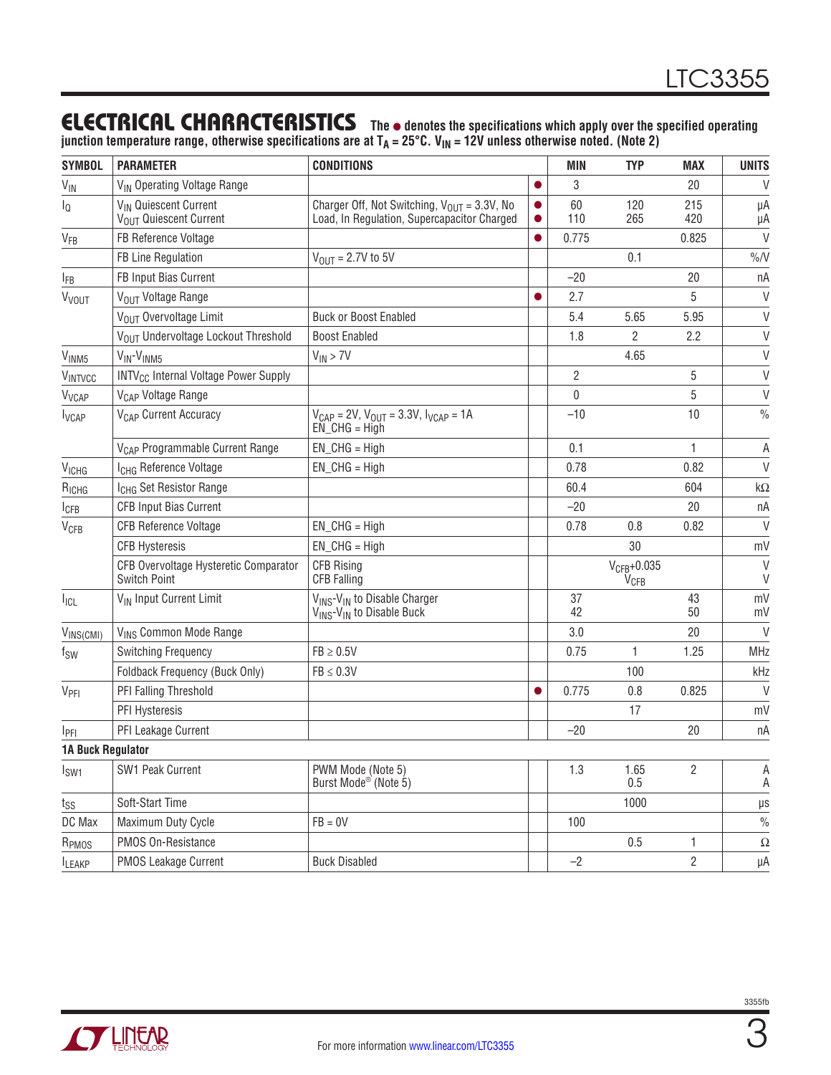### ELECTRICAL CHARACTERISTICS **The** <sup>l</sup> **denotes the specifications which apply over the specified operating**

**junction temperature range, otherwise specifications are at TA = 25°C. VIN = 12V unless otherwise noted. (Note 2)**

| <b>SYMBOL</b>             | <b>PARAMETER</b>                                             | <b>CONDITIONS</b>                                                                                         |           | <b>MIN</b>     | <b>TYP</b>                                  | <b>MAX</b>     | <b>UNITS</b>     |
|---------------------------|--------------------------------------------------------------|-----------------------------------------------------------------------------------------------------------|-----------|----------------|---------------------------------------------|----------------|------------------|
| $V_{IN}$                  | V <sub>IN</sub> Operating Voltage Range                      |                                                                                                           |           | 3              |                                             | 20             | $\vee$           |
| $\mathsf{I}_{\mathsf{Q}}$ | VIN Quiescent Current<br>VOLIT Quiescent Current             | Charger Off, Not Switching, $V_{OIIT} = 3.3V$ , No<br>Load, In Regulation, Supercapacitor Charged         |           | 60<br>110      | 120<br>265                                  | 215<br>420     | μA<br>μA         |
| V <sub>FB</sub>           | FB Reference Voltage                                         |                                                                                                           | $\bullet$ | 0.775          |                                             | 0.825          | $\vee$           |
|                           | FB Line Regulation                                           | $V_{\text{OUT}} = 2.7V$ to 5V                                                                             |           |                | 0.1                                         |                | $\%N$            |
| <b>IFB</b>                | FB Input Bias Current                                        |                                                                                                           |           | $-20$          |                                             | 20             | nA               |
| <b>V<sub>VOUT</sub></b>   | VOUT Voltage Range                                           |                                                                                                           | $\bullet$ | 2.7            |                                             | 5              | $\vee$           |
|                           | VOUT Overvoltage Limit                                       | <b>Buck or Boost Enabled</b>                                                                              |           | 5.4            | 5.65                                        | 5.95           | $\vee$           |
|                           | VOLIT Undervoltage Lockout Threshold                         | <b>Boost Enabled</b>                                                                                      |           | 1.8            | 2                                           | 2.2            | $\vee$           |
| V <sub>INM5</sub>         | V <sub>IN</sub> -V <sub>INM5</sub>                           | $V_{IN}$ > 7V                                                                                             |           |                | 4.65                                        |                | $\vee$           |
| VINTVCC                   | <b>INTV<sub>CC</sub></b> Internal Voltage Power Supply       |                                                                                                           |           | $\overline{2}$ |                                             | 5              | $\vee$           |
| V <sub>VCAP</sub>         | V <sub>CAP</sub> Voltage Range                               |                                                                                                           |           | 0              |                                             | 5              | $\vee$           |
| <b>I</b> <sub>VCAP</sub>  | V <sub>CAP</sub> Current Accuracy                            | $V_{CAP} = 2V$ , $V_{OUT} = 3.3V$ , $V_{VCAP} = 1A$<br>$EN_CHG = High$                                    |           | $-10$          |                                             | 10             | $\frac{0}{0}$    |
|                           | V <sub>CAP</sub> Programmable Current Range                  | $EN_CHG = High$                                                                                           |           | 0.1            |                                             | $\mathbf{1}$   | A                |
| <b>V<sub>ICHG</sub></b>   | I <sub>CHG</sub> Reference Voltage                           | $EN$ CHG = High                                                                                           |           | 0.78           |                                             | 0.82           | $\vee$           |
| $R_{ICHG}$                | I <sub>CHG</sub> Set Resistor Range                          |                                                                                                           |           | 60.4           |                                             | 604            | $k\Omega$        |
| <b>I</b> CFB              | <b>CFB Input Bias Current</b>                                |                                                                                                           |           | $-20$          |                                             | 20             | nA               |
| <b>V<sub>CFB</sub></b>    | <b>CFB Reference Voltage</b>                                 | $EN_CHG = High$                                                                                           |           | 0.78           | 0.8                                         | 0.82           | $\vee$           |
|                           | <b>CFB Hysteresis</b>                                        | $EN_CHG = High$                                                                                           |           |                | 30                                          |                | mV               |
|                           | CFB Overvoltage Hysteretic Comparator<br><b>Switch Point</b> | <b>CFB Rising</b><br><b>CFB Falling</b>                                                                   |           |                | $V_{CFB} + 0.035$<br><b>V<sub>CFB</sub></b> |                | $\vee$<br>$\vee$ |
| $I_{ICL}$                 | V <sub>IN</sub> Input Current Limit                          | V <sub>INS</sub> -V <sub>IN</sub> to Disable Charger<br>V <sub>INS</sub> -V <sub>IN</sub> to Disable Buck |           | 37<br>42       |                                             | 43<br>50       | mV<br>mV         |
| VINS(CMI)                 | VINS Common Mode Range                                       |                                                                                                           |           | 3.0            |                                             | 20             | $\vee$           |
| $f_{SW}$                  | Switching Frequency                                          | $FB \geq 0.5V$                                                                                            |           | 0.75           | 1                                           | 1.25           | MHz              |
|                           | Foldback Frequency (Buck Only)                               | $FB \leq 0.3V$                                                                                            |           |                | 100                                         |                | kHz              |
| V <sub>PFI</sub>          | PFI Falling Threshold                                        |                                                                                                           | $\bullet$ | 0.775          | 0.8                                         | 0.825          | $\vee$           |
|                           | PFI Hysteresis                                               |                                                                                                           |           |                | 17                                          |                | mV               |
| IPFI                      | PFI Leakage Current                                          |                                                                                                           |           | $-20$          |                                             | 20             | nA               |
| <b>1A Buck Regulator</b>  |                                                              |                                                                                                           |           |                |                                             |                |                  |
| I <sub>SW1</sub>          | SW1 Peak Current                                             | PWM Mode (Note 5)<br>Burst Mode <sup>®</sup> (Note 5)                                                     |           | 1.3            | 1.65<br>0.5                                 | $\overline{2}$ | A<br>A           |
| $t_{SS}$                  | Soft-Start Time                                              |                                                                                                           |           |                | 1000                                        |                | $\mu s$          |
| DC Max                    | Maximum Duty Cycle                                           | $FB = 0V$                                                                                                 |           | 100            |                                             |                | $\frac{0}{0}$    |
| R <sub>PMOS</sub>         | PMOS On-Resistance                                           |                                                                                                           |           |                | 0.5                                         | 1              | Ω                |
| <b>ILEAKP</b>             | PMOS Leakage Current                                         | <b>Buck Disabled</b>                                                                                      |           | $-2$           |                                             | $\overline{c}$ | μA               |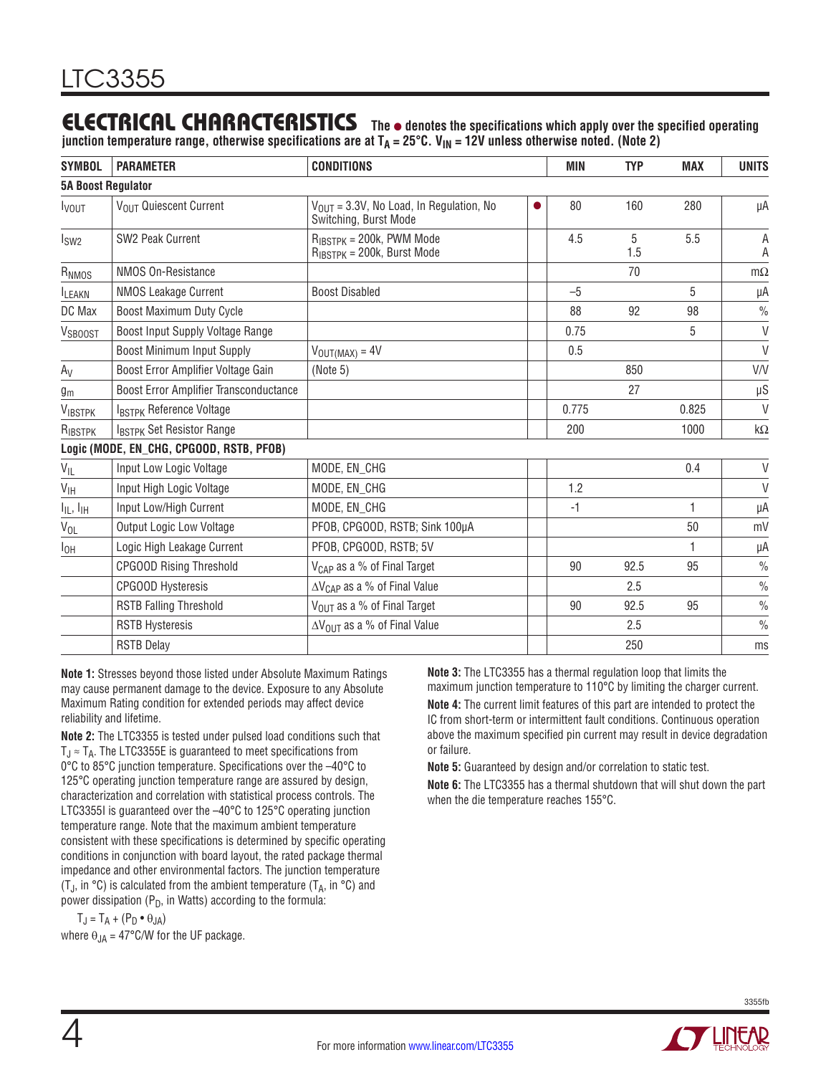### ELECTRICAL CHARACTERISTICS **The** <sup>l</sup> **denotes the specifications which apply over the specified operating**

**junction temperature range, otherwise specifications are at TA = 25°C. VIN = 12V unless otherwise noted. (Note 2)**

| <b>SYMBOL</b>                     | <b>PARAMETER</b>                         | <b>CONDITIONS</b>                                                             |   | <b>MIN</b> | <b>TYP</b> | <b>MAX</b> | <b>UNITS</b>  |
|-----------------------------------|------------------------------------------|-------------------------------------------------------------------------------|---|------------|------------|------------|---------------|
| <b>5A Boost Regulator</b>         |                                          |                                                                               |   |            |            |            |               |
| <b>I</b> vout                     | VOUT Quiescent Current                   | $V_{\text{OUT}} = 3.3V$ , No Load, In Regulation, No<br>Switching, Burst Mode | ● | 80         | 160        | 280        | μA            |
| I <sub>SW2</sub>                  | SW2 Peak Current                         | $R_{IBSTPK} = 200k$ , PWM Mode<br>$R_{IBSTPK} = 200k$ , Burst Mode            |   | 4.5        | 5<br>1.5   | 5.5        | A<br>Α        |
| R <sub>NMOS</sub>                 | NMOS On-Resistance                       |                                                                               |   |            | 70         |            | $m\Omega$     |
| <b>ILEAKN</b>                     | <b>NMOS Leakage Current</b>              | <b>Boost Disabled</b>                                                         |   | $-5$       |            | 5          | μA            |
| DC Max                            | Boost Maximum Duty Cycle                 |                                                                               |   | 88         | 92         | 98         | $\frac{0}{0}$ |
| VSBOOST                           | Boost Input Supply Voltage Range         |                                                                               |   | 0.75       |            | 5          | $\vee$        |
|                                   | <b>Boost Minimum Input Supply</b>        | $V_{\text{OUT(MAX)}} = 4V$                                                    |   | 0.5        |            |            | $\vee$        |
| $A_V$                             | Boost Error Amplifier Voltage Gain       | (Note 5)                                                                      |   |            | 850        |            | V/V           |
| $g_m$                             | Boost Error Amplifier Transconductance   |                                                                               |   |            | 27         |            | $\upmu S$     |
| VIBSTPK                           | IBSTPK Reference Voltage                 |                                                                               |   | 0.775      |            | 0.825      | V             |
| RIBSTPK                           | IBSTPK Set Resistor Range                |                                                                               |   | 200        |            | 1000       | k $\Omega$    |
|                                   | Logic (MODE, EN_CHG, CPGOOD, RSTB, PFOB) |                                                                               |   |            |            |            |               |
| $V_{IL}$                          | Input Low Logic Voltage                  | MODE, EN_CHG                                                                  |   |            |            | 0.4        | $\vee$        |
| $V_{\text{IH}}$                   | Input High Logic Voltage                 | MODE, EN_CHG                                                                  |   | 1.2        |            |            | $\vee$        |
| $I_{\text{IL}}$ , $I_{\text{IH}}$ | Input Low/High Current                   | MODE, EN_CHG                                                                  |   | $-1$       |            | 1          | μA            |
| $V_{OL}$                          | <b>Output Logic Low Voltage</b>          | PFOB, CPGOOD, RSTB; Sink 100µA                                                |   |            |            | 50         | mV            |
| $I_{OH}$                          | Logic High Leakage Current               | PFOB, CPGOOD, RSTB; 5V                                                        |   |            |            | 1          | μA            |
|                                   | <b>CPGOOD Rising Threshold</b>           | V <sub>CAP</sub> as a % of Final Target                                       |   | 90         | 92.5       | 95         | $\frac{0}{0}$ |
|                                   | <b>CPGOOD Hysteresis</b>                 | $\Delta V_{\text{CAP}}$ as a % of Final Value                                 |   |            | 2.5        |            | $\frac{0}{0}$ |
|                                   | <b>RSTB Falling Threshold</b>            | $V_{OIII}$ as a % of Final Target                                             |   | 90         | 92.5       | 95         | $\frac{0}{0}$ |
|                                   | <b>RSTB Hysteresis</b>                   | $\Delta V_{OUT}$ as a % of Final Value                                        |   |            | 2.5        |            | $\frac{0}{0}$ |
|                                   | <b>RSTB Delay</b>                        |                                                                               |   |            | 250        |            | ms            |

**Note 1:** Stresses beyond those listed under Absolute Maximum Ratings may cause permanent damage to the device. Exposure to any Absolute Maximum Rating condition for extended periods may affect device reliability and lifetime.

**Note 2:** The LTC3355 is tested under pulsed load conditions such that  $T_J \approx T_A$ . The LTC3355E is guaranteed to meet specifications from 0°C to 85°C junction temperature. Specifications over the –40°C to 125°C operating junction temperature range are assured by design, characterization and correlation with statistical process controls. The LTC3355I is guaranteed over the –40°C to 125°C operating junction temperature range. Note that the maximum ambient temperature consistent with these specifications is determined by specific operating conditions in conjunction with board layout, the rated package thermal impedance and other environmental factors. The junction temperature (T<sub>J</sub>, in  $\degree$ C) is calculated from the ambient temperature (T<sub>A</sub>, in  $\degree$ C) and power dissipation ( $P_D$ , in Watts) according to the formula:

 $T_J = T_A + (P_D \bullet \theta_{JA})$ 

where  $\theta_{JA} = 47^{\circ}$ C/W for the UF package.

**Note 3:** The LTC3355 has a thermal regulation loop that limits the maximum junction temperature to 110°C by limiting the charger current.

**Note 4:** The current limit features of this part are intended to protect the IC from short-term or intermittent fault conditions. Continuous operation above the maximum specified pin current may result in device degradation or failure.

**Note 5:** Guaranteed by design and/or correlation to static test.

**Note 6:** The LTC3355 has a thermal shutdown that will shut down the part when the die temperature reaches 155°C.

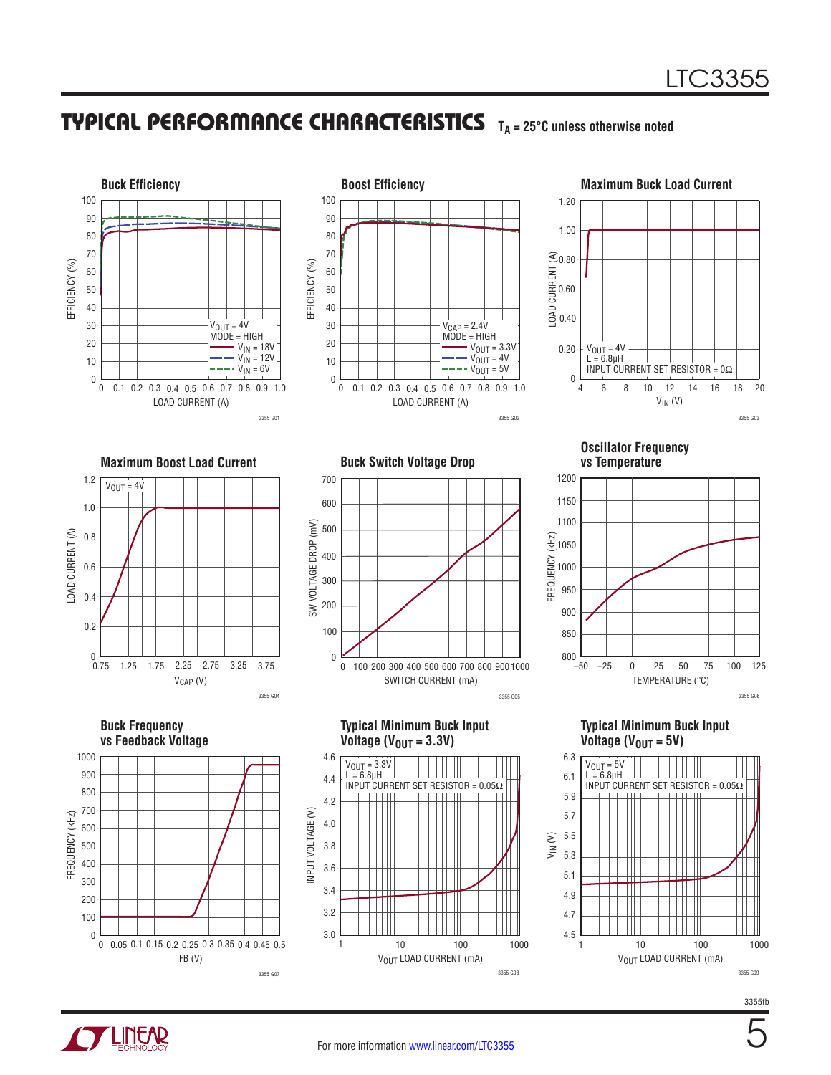### TYPICAL PERFORMANCE CHARACTERISTICS **TA = 25°C unless otherwise noted**





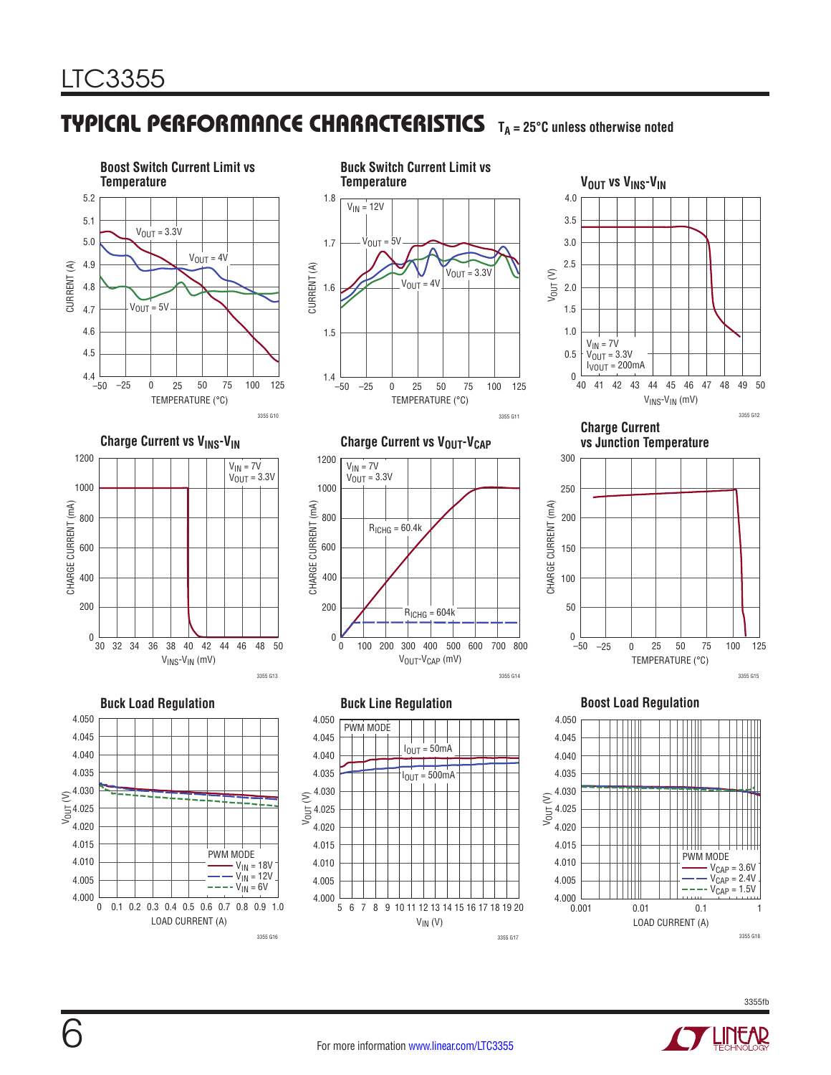### TYPICAL PERFORMANCE CHARACTERISTICS **TA = 25°C unless otherwise noted**







**Charge Current vs Junction Temperature**



#### **Boost Load Regulation**





3355fb







 $R_{ICHG} = 60.4k$ 

200 400 600 800 100 300 500 700

 $R<sub>ICHG</sub> = 604k$ 

3355 G14

0 0

200

400

600

800

1000

1200

V<sub>IN</sub> = 7V  $\rm V_{\rm OUT}$  = 3.3V

CHARGE CURRENT (mA)

CHARGE CURRENT (mA)



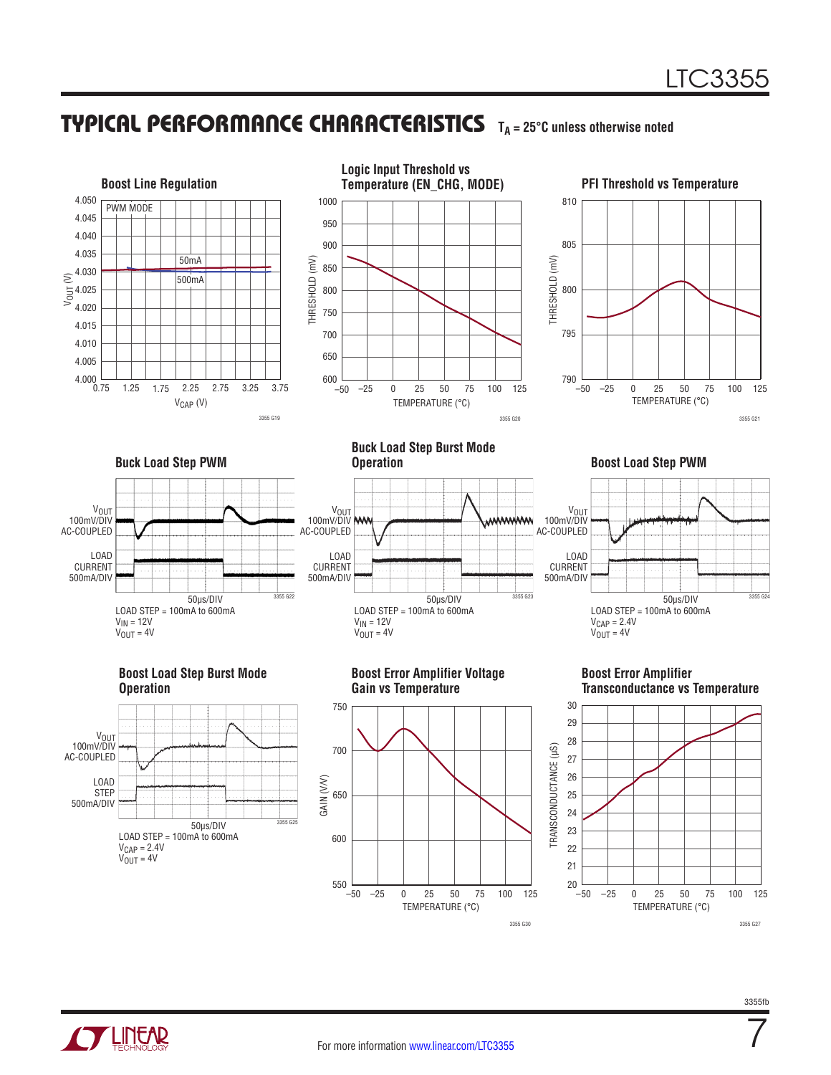### TYPICAL PERFORMANCE CHARACTERISTICS **TA = 25°C unless otherwise noted**



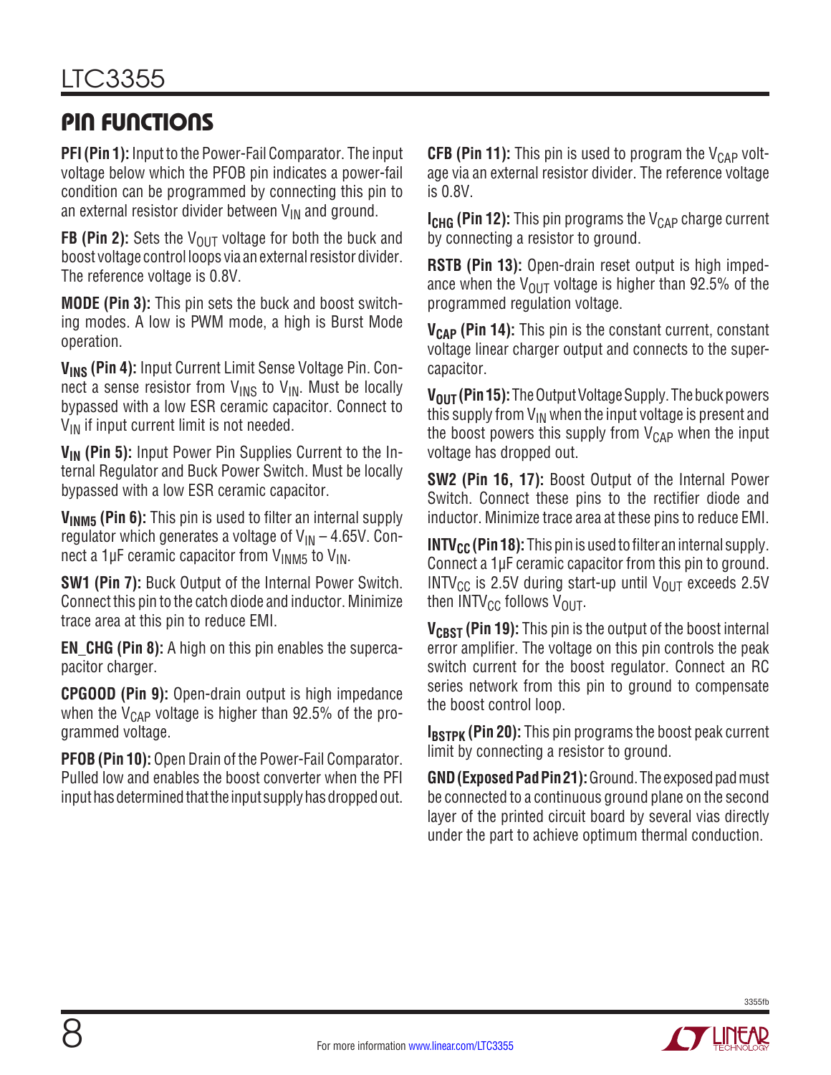### PIN FUNCTIONS

**PFI (Pin 1):** Input to the Power-Fail Comparator. The input voltage below which the PFOB pin indicates a power-fail condition can be programmed by connecting this pin to an external resistor divider between  $V_{IN}$  and ground.

**FB (Pin 2):** Sets the  $V_{OUT}$  voltage for both the buck and boost voltage control loops via an external resistor divider. The reference voltage is 0.8V.

**MODE (Pin 3):** This pin sets the buck and boost switching modes. A low is PWM mode, a high is Burst Mode operation.

**VINS (Pin 4):** Input Current Limit Sense Voltage Pin. Connect a sense resistor from  $V_{\text{INS}}$  to  $V_{\text{IN}}$ . Must be locally bypassed with a low ESR ceramic capacitor. Connect to  $V_{IN}$  if input current limit is not needed.

**V<sub>IN</sub>** (Pin 5): Input Power Pin Supplies Current to the Internal Regulator and Buck Power Switch. Must be locally bypassed with a low ESR ceramic capacitor.

**VINM5 (Pin 6):** This pin is used to filter an internal supply regulator which generates a voltage of  $V_{\text{IN}} - 4.65V$ . Connect a 1µF ceramic capacitor from  $V_{1NMS}$  to  $V_{1N}$ .

**SW1 (Pin 7):** Buck Output of the Internal Power Switch. Connect this pin to the catch diode and inductor. Minimize trace area at this pin to reduce EMI.

**EN\_CHG (Pin 8):** A high on this pin enables the supercapacitor charger.

**CPGOOD (Pin 9):** Open-drain output is high impedance when the  $V_{\text{CAP}}$  voltage is higher than 92.5% of the programmed voltage.

**PFOB (Pin 10):** Open Drain of the Power-Fail Comparator. Pulled low and enables the boost converter when the PFI input has determined that the input supply has dropped out. **CFB (Pin 11):** This pin is used to program the  $V_{CAP}$  voltage via an external resistor divider. The reference voltage is 0.8V.

**I<sub>CHG</sub> (Pin 12):** This pin programs the V<sub>CAP</sub> charge current by connecting a resistor to ground.

**RSTB (Pin 13):** Open-drain reset output is high impedance when the  $V_{\text{OUT}}$  voltage is higher than 92.5% of the programmed regulation voltage.

**V<sub>CAP</sub>** (Pin 14): This pin is the constant current, constant voltage linear charger output and connects to the supercapacitor.

**V<sub>OUT</sub> (Pin 15):** The Output Voltage Supply. The buck powers this supply from  $V_{IN}$  when the input voltage is present and the boost powers this supply from  $V_{CAP}$  when the input voltage has dropped out.

**SW2 (Pin 16, 17):** Boost Output of the Internal Power Switch. Connect these pins to the rectifier diode and inductor. Minimize trace area at these pins to reduce EMI.

**INTV<sub>CC</sub>** (Pin 18): This pin is used to filter an internal supply. Connect a 1µF ceramic capacitor from this pin to ground. INTV<sub>CC</sub> is 2.5V during start-up until V<sub>OUT</sub> exceeds 2.5V then  $INTV_{CC}$  follows  $V_{OUT}$ .

**VCBST (Pin 19):** This pin is the output of the boost internal error amplifier. The voltage on this pin controls the peak switch current for the boost regulator. Connect an RC series network from this pin to ground to compensate the boost control loop.

**IBSTPK (Pin 20):** This pin programs the boost peak current limit by connecting a resistor to ground.

**GND (Exposed Pad Pin 21):** Ground. The exposed pad must be connected to a continuous ground plane on the second layer of the printed circuit board by several vias directly under the part to achieve optimum thermal conduction.

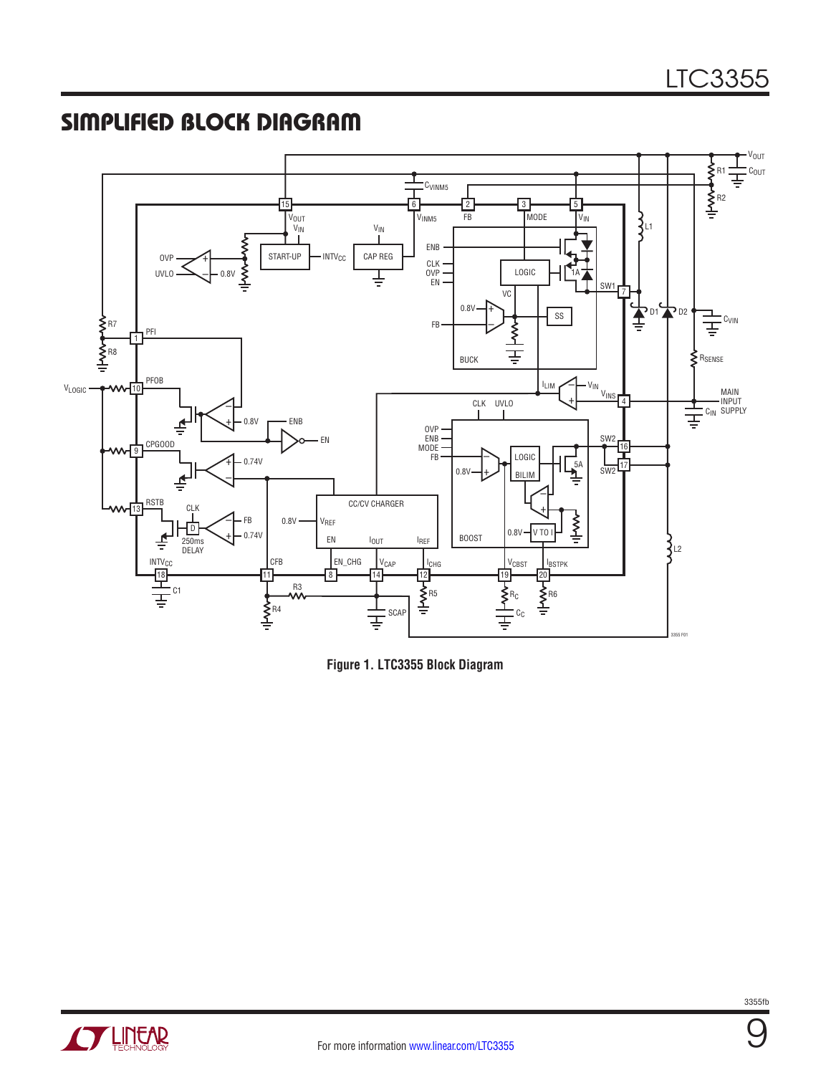### SIMPLIFIED BLOCK DIAGRAM



**Figure 1. LTC3355 Block Diagram**



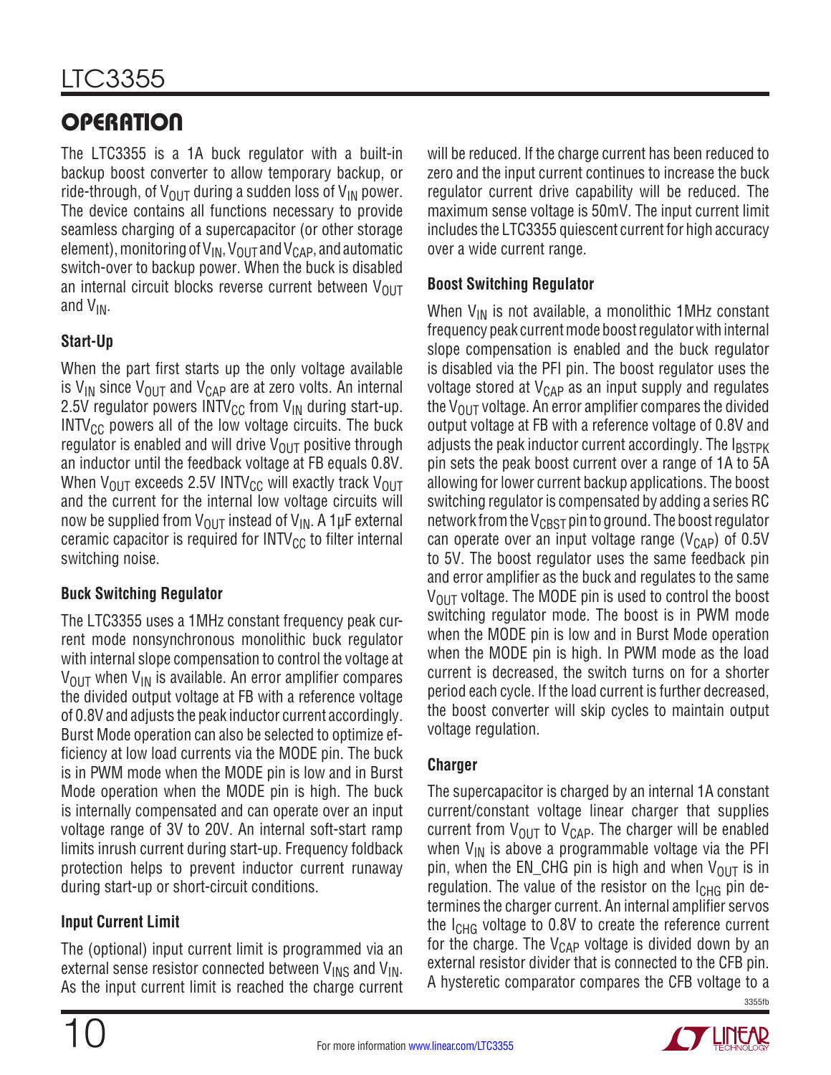# LTC3355

# **OPERATION**

The LTC3355 is a 1A buck regulator with a built-in backup boost converter to allow temporary backup, or ride-through, of  $V_{\text{OUT}}$  during a sudden loss of  $V_{\text{IN}}$  power. The device contains all functions necessary to provide seamless charging of a supercapacitor (or other storage element), monitoring of  $V_{IN}$ ,  $V_{OUT}$  and  $V_{CAP}$ , and automatic switch-over to backup power. When the buck is disabled an internal circuit blocks reverse current between  $V_{\text{OUT}}$ and  $V_{IN}$ .

### **Start-Up**

When the part first starts up the only voltage available is V<sub>IN</sub> since V<sub>OUT</sub> and V<sub>CAP</sub> are at zero volts. An internal 2.5V regulator powers  $INTV_{CC}$  from  $V_{IN}$  during start-up.  $INTV_{CC}$  powers all of the low voltage circuits. The buck regulator is enabled and will drive  $V_{\text{OUT}}$  positive through an inductor until the feedback voltage at FB equals 0.8V. When  $V_{\text{OUT}}$  exceeds 2.5V INTV<sub>CC</sub> will exactly track  $V_{\text{OUT}}$ and the current for the internal low voltage circuits will now be supplied from  $V_{OUT}$  instead of  $V_{IN}$ . A 1µF external ceramic capacitor is required for  $INTV_{CC}$  to filter internal switching noise.

#### **Buck Switching Regulator**

The LTC3355 uses a 1MHz constant frequency peak current mode nonsynchronous monolithic buck regulator with internal slope compensation to control the voltage at  $V_{\text{OUT}}$  when  $V_{\text{IN}}$  is available. An error amplifier compares the divided output voltage at FB with a reference voltage of 0.8V and adjusts the peak inductor current accordingly. Burst Mode operation can also be selected to optimize efficiency at low load currents via the MODE pin. The buck is in PWM mode when the MODE pin is low and in Burst Mode operation when the MODE pin is high. The buck is internally compensated and can operate over an input voltage range of 3V to 20V. An internal soft-start ramp limits inrush current during start-up. Frequency foldback protection helps to prevent inductor current runaway during start-up or short-circuit conditions.

### **Input Current Limit**

The (optional) input current limit is programmed via an external sense resistor connected between  $V_{INS}$  and  $V_{IN}$ . As the input current limit is reached the charge current will be reduced. If the charge current has been reduced to zero and the input current continues to increase the buck regulator current drive capability will be reduced. The maximum sense voltage is 50mV. The input current limit includes the LTC3355 quiescent current for high accuracy over a wide current range.

#### **Boost Switching Regulator**

When  $V_{IN}$  is not available, a monolithic 1MHz constant frequency peak current mode boost regulator with internal slope compensation is enabled and the buck regulator is disabled via the PFI pin. The boost regulator uses the voltage stored at  $V_{\text{CAP}}$  as an input supply and regulates the  $V_{\text{OUT}}$  voltage. An error amplifier compares the divided output voltage at FB with a reference voltage of 0.8V and adjusts the peak inductor current accordingly. The  $I_{\text{RSTPK}}$ pin sets the peak boost current over a range of 1A to 5A allowing for lower current backup applications. The boost switching regulator is compensated by adding a series RC network from the  $V_{CBST}$  pin to ground. The boost regulator can operate over an input voltage range ( $V_{\text{CAP}}$ ) of 0.5V to 5V. The boost regulator uses the same feedback pin and error amplifier as the buck and regulates to the same  $V_{\text{OUT}}$  voltage. The MODE pin is used to control the boost switching regulator mode. The boost is in PWM mode when the MODE pin is low and in Burst Mode operation when the MODE pin is high. In PWM mode as the load current is decreased, the switch turns on for a shorter period each cycle. If the load current is further decreased, the boost converter will skip cycles to maintain output voltage regulation.

#### **Charger**

The supercapacitor is charged by an internal 1A constant current/constant voltage linear charger that supplies current from  $V_{OIIT}$  to  $V_{CAP}$ . The charger will be enabled when  $V_{IN}$  is above a programmable voltage via the PFI pin, when the EN\_CHG pin is high and when  $V_{\text{OUT}}$  is in regulation. The value of the resistor on the  $I_{CHG}$  pin determines the charger current. An internal amplifier servos the  $I_{CHG}$  voltage to 0.8V to create the reference current for the charge. The  $V_{\text{CAP}}$  voltage is divided down by an external resistor divider that is connected to the CFB pin. A hysteretic comparator compares the CFB voltage to a

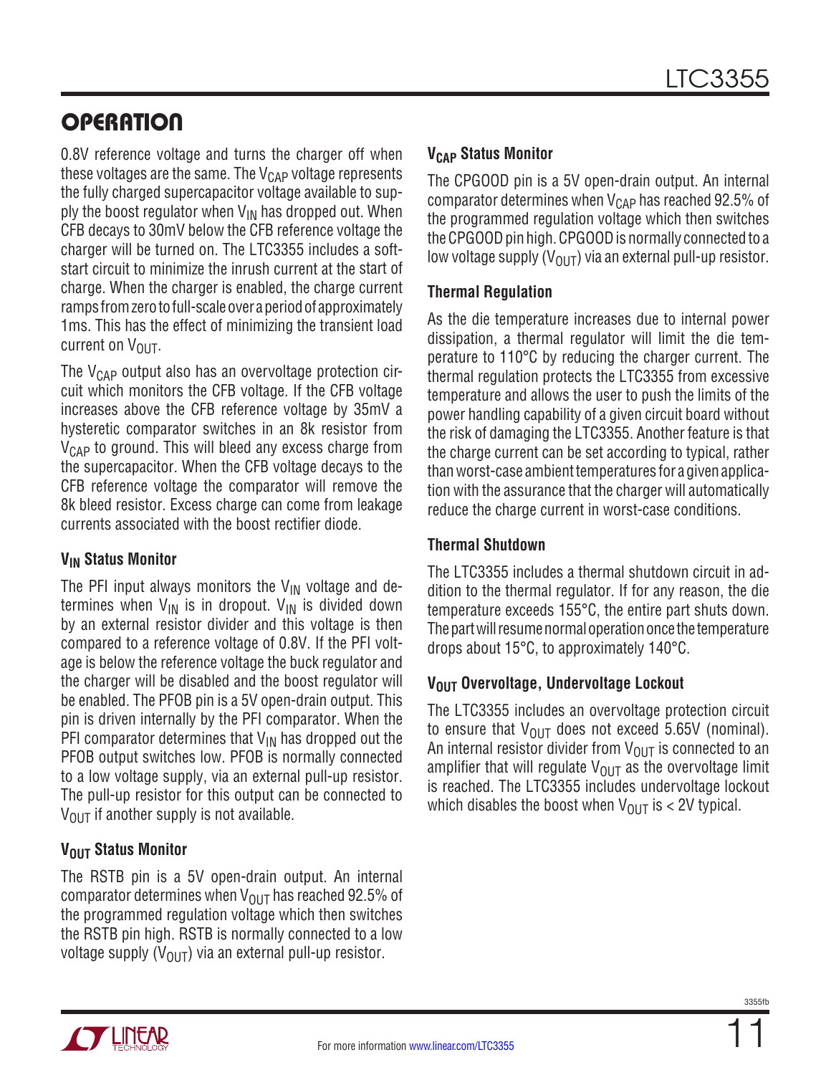### **OPERATION**

0.8V reference voltage and turns the charger off when these voltages are the same. The  $V_{\text{CAP}}$  voltage represents the fully charged supercapacitor voltage available to supply the boost regulator when  $V_{IN}$  has dropped out. When CFB decays to 30mV below the CFB reference voltage the charger will be turned on. The LTC3355 includes a softstart circuit to minimize the inrush current at the start of charge. When the charger is enabled, the charge current ramps from zero to full-scale over a period of approximately 1ms. This has the effect of minimizing the transient load current on  $V_{\text{OUT}}$ .

The  $V_{\text{CAP}}$  output also has an overvoltage protection circuit which monitors the CFB voltage. If the CFB voltage increases above the CFB reference voltage by 35mV a hysteretic comparator switches in an 8k resistor from  $V_{\text{CAP}}$  to ground. This will bleed any excess charge from the supercapacitor. When the CFB voltage decays to the CFB reference voltage the comparator will remove the 8k bleed resistor. Excess charge can come from leakage currents associated with the boost rectifier diode.

#### **VIN Status Monitor**

The PFI input always monitors the  $\rm V_{IN}$  voltage and determines when  $V_{IN}$  is in dropout.  $V_{IN}$  is divided down by an external resistor divider and this voltage is then compared to a reference voltage of 0.8V. If the PFI voltage is below the reference voltage the buck regulator and the charger will be disabled and the boost regulator will be enabled. The PFOB pin is a 5V open-drain output. This pin is driven internally by the PFI comparator. When the PFI comparator determines that  $V_{IN}$  has dropped out the PFOB output switches low. PFOB is normally connected to a low voltage supply, via an external pull-up resistor. The pull-up resistor for this output can be connected to  $V_{\text{OUT}}$  if another supply is not available.

#### **VOUT** Status Monitor

The RSTB pin is a 5V open-drain output. An internal comparator determines when  $V_{\text{OUT}}$  has reached 92.5% of the programmed regulation voltage which then switches the RSTB pin high. RSTB is normally connected to a low voltage supply ( $V_{\text{OUT}}$ ) via an external pull-up resistor.

### **VCAP Status Monitor**

The CPGOOD pin is a 5V open-drain output. An internal comparator determines when  $V_{\text{CAP}}$  has reached 92.5% of the programmed regulation voltage which then switches the CPGOOD pin high. CPGOOD is normally connected to a low voltage supply  $(V_{\Omega \Pi})$  via an external pull-up resistor.

#### **Thermal Regulation**

As the die temperature increases due to internal power dissipation, a thermal regulator will limit the die temperature to 110°C by reducing the charger current. The thermal regulation protects the LTC3355 from excessive temperature and allows the user to push the limits of the power handling capability of a given circuit board without the risk of damaging the LTC3355. Another feature is that the charge current can be set according to typical, rather than worst-case ambient temperatures for a given application with the assurance that the charger will automatically reduce the charge current in worst-case conditions.

#### **Thermal Shutdown**

The LTC3355 includes a thermal shutdown circuit in addition to the thermal regulator. If for any reason, the die temperature exceeds 155°C, the entire part shuts down. The part will resume normal operation once the temperature drops about 15°C, to approximately 140°C.

### **VOUT Overvoltage, Undervoltage Lockout**

The LTC3355 includes an overvoltage protection circuit to ensure that  $V_{\text{OUT}}$  does not exceed 5.65V (nominal). An internal resistor divider from  $V_{\text{OUT}}$  is connected to an amplifier that will regulate  $V_{\text{OUT}}$  as the overvoltage limit is reached. The LTC3355 includes undervoltage lockout which disables the boost when  $V_{\text{OUT}}$  is < 2V typical.

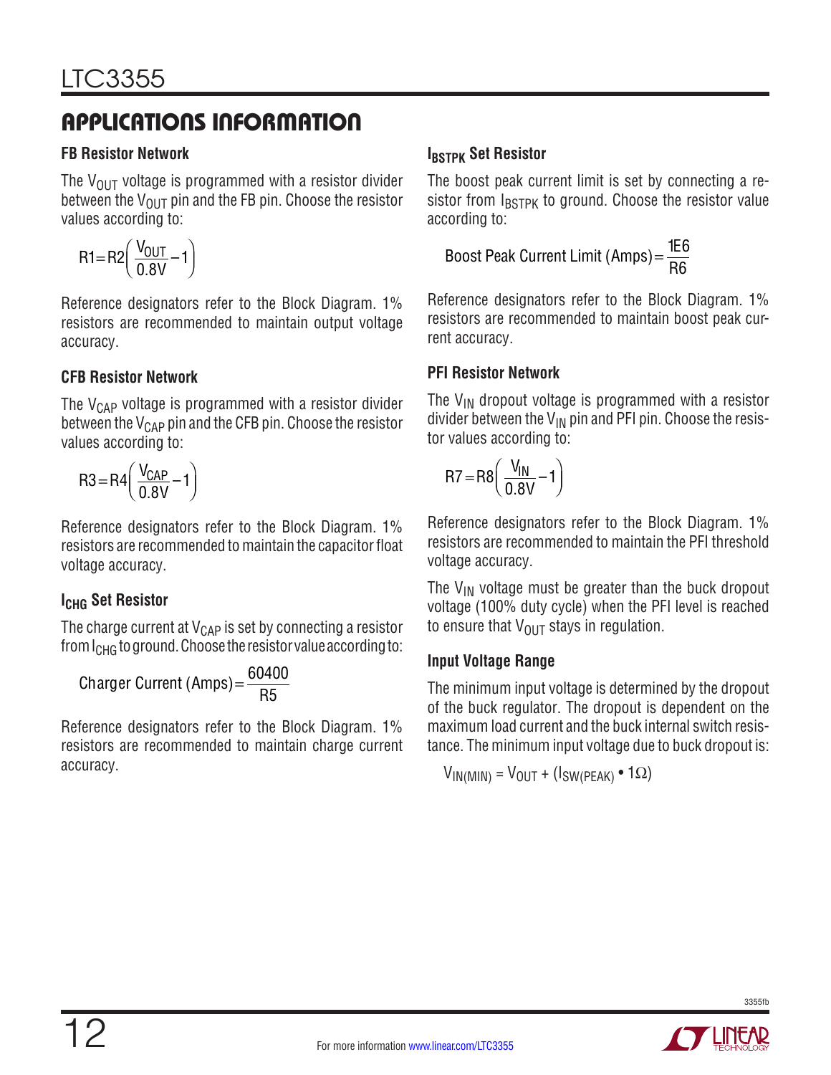#### **FB Resistor Network**

The  $V_{\text{OUT}}$  voltage is programmed with a resistor divider between the  $V_{\text{OUT}}$  pin and the FB pin. Choose the resistor values according to:

$$
R1 = R2 \left( \frac{V_{OUT}}{0.8V} - 1 \right)
$$

Reference designators refer to the Block Diagram. 1% resistors are recommended to maintain output voltage accuracy.

#### **CFB Resistor Network**

The  $V_{\text{CAP}}$  voltage is programmed with a resistor divider between the  $V_{CAP}$  pin and the CFB pin. Choose the resistor values according to:

$$
R3 = R4 \left( \frac{V_{CAP}}{0.8V} - 1 \right)
$$

Reference designators refer to the Block Diagram. 1% resistors are recommended to maintain the capacitor float voltage accuracy.

### **ICHG Set Resistor**

The charge current at  $V_{\text{CAP}}$  is set by connecting a resistor from  $I_{CHG}$  to ground. Choose the resistor value according to:

$$
Chapter Current (Amps) = \frac{60400}{R5}
$$

Reference designators refer to the Block Diagram. 1% resistors are recommended to maintain charge current accuracy.

### **IBSTPK** Set Resistor

The boost peak current limit is set by connecting a resistor from  $I_{\text{BSTPK}}$  to ground. Choose the resistor value according to:

Boost Peak Current Limit (Amps) = 
$$
\frac{166}{R6}
$$

Reference designators refer to the Block Diagram. 1% resistors are recommended to maintain boost peak current accuracy.

#### **PFI Resistor Network**

The  $V_{IN}$  dropout voltage is programmed with a resistor divider between the  $V_{IN}$  pin and PFI pin. Choose the resistor values according to:

$$
R7 = R8 \left( \frac{V_{IN}}{0.8V} - 1 \right)
$$

Reference designators refer to the Block Diagram. 1% resistors are recommended to maintain the PFI threshold voltage accuracy.

The  $V_{IN}$  voltage must be greater than the buck dropout voltage (100% duty cycle) when the PFI level is reached to ensure that  $V_{\text{OUT}}$  stays in regulation.

#### **Input Voltage Range**

The minimum input voltage is determined by the dropout of the buck regulator. The dropout is dependent on the maximum load current and the buck internal switch resistance. The minimum input voltage due to buck dropout is:

$$
V_{IN(MIN)} = V_{OUT} + (I_{SW(PEAK)} \cdot 1\Omega)
$$

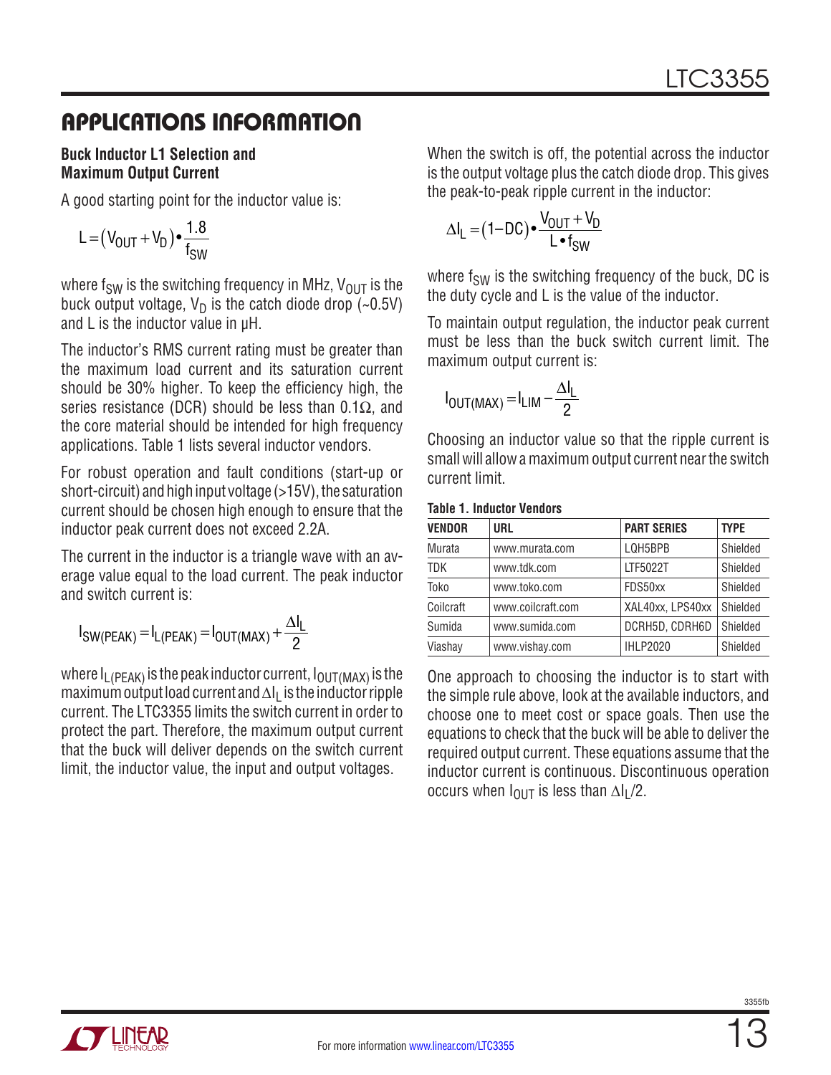#### **Buck Inductor L1 Selection and Maximum Output Current**

A good starting point for the inductor value is:

$$
L = (V_{OUT} + V_D) \cdot \frac{1.8}{f_{SW}}
$$

where f<sub>SW</sub> is the switching frequency in MHz,  $V_{\text{OUT}}$  is the buck output voltage,  $V_D$  is the catch diode drop (~0.5V) and L is the inductor value in µH.

The inductor's RMS current rating must be greater than the maximum load current and its saturation current should be 30% higher. To keep the efficiency high, the series resistance (DCR) should be less than  $0.1\Omega$ , and the core material should be intended for high frequency applications. Table 1 lists several inductor vendors.

For robust operation and fault conditions (start-up or short-circuit) and high input voltage (>15V), the saturation current should be chosen high enough to ensure that the inductor peak current does not exceed 2.2A.

The current in the inductor is a triangle wave with an average value equal to the load current. The peak inductor and switch current is:

$$
I_{SW(PEAK)} = I_{L(PEAK)} = I_{OUT(MAX)} + \frac{\Delta I_L}{2}
$$

where  $I_{L(PEAK)}$  is the peak inductor current,  $I_{OUT(MAX)}$  is the maximum output load current and ∆I<sub>L</sub> is the inductor ripple current. The LTC3355 limits the switch current in order to protect the part. Therefore, the maximum output current that the buck will deliver depends on the switch current limit, the inductor value, the input and output voltages.

When the switch is off, the potential across the inductor is the output voltage plus the catch diode drop. This gives the peak-to-peak ripple current in the inductor:

$$
\Delta I_{L} = (1 - DC) \cdot \frac{V_{OUT} + V_{D}}{L \cdot f_{SW}}
$$

where  $f_{SW}$  is the switching frequency of the buck, DC is the duty cycle and L is the value of the inductor.

To maintain output regulation, the inductor peak current must be less than the buck switch current limit. The maximum output current is:

$$
I_{\text{OUT}(MAX)} = I_{\text{LIM}} - \frac{\Delta I_{\text{L}}}{2}
$$

**Table 1. Inductor Vendors**

Choosing an inductor value so that the ripple current is small will allow a maximum output current near the switch current limit.

| <b>VENDOR</b> | URL               | <b>PART SERIES</b> | <b>TYPE</b> |  |  |  |
|---------------|-------------------|--------------------|-------------|--|--|--|
| Murata        | www.murata.com    | LQH5BPB            | Shielded    |  |  |  |
| <b>TDK</b>    | www.tdk.com       | LTF5022T           | Shielded    |  |  |  |
| Toko          | www.toko.com      | FDS50xx            | Shielded    |  |  |  |
| Coilcraft     | www.coilcraft.com | XAL40xx, LPS40xx   | Shielded    |  |  |  |
| Sumida        | www.sumida.com    | DCRH5D, CDRH6D     | Shielded    |  |  |  |
| Viashay       | www.vishay.com    | <b>IHLP2020</b>    | Shielded    |  |  |  |

One approach to choosing the inductor is to start with the simple rule above, look at the available inductors, and choose one to meet cost or space goals. Then use the equations to check that the buck will be able to deliver the required output current. These equations assume that the inductor current is continuous. Discontinuous operation occurs when  $I_{\text{OUT}}$  is less than  $\Delta I_L/2$ .

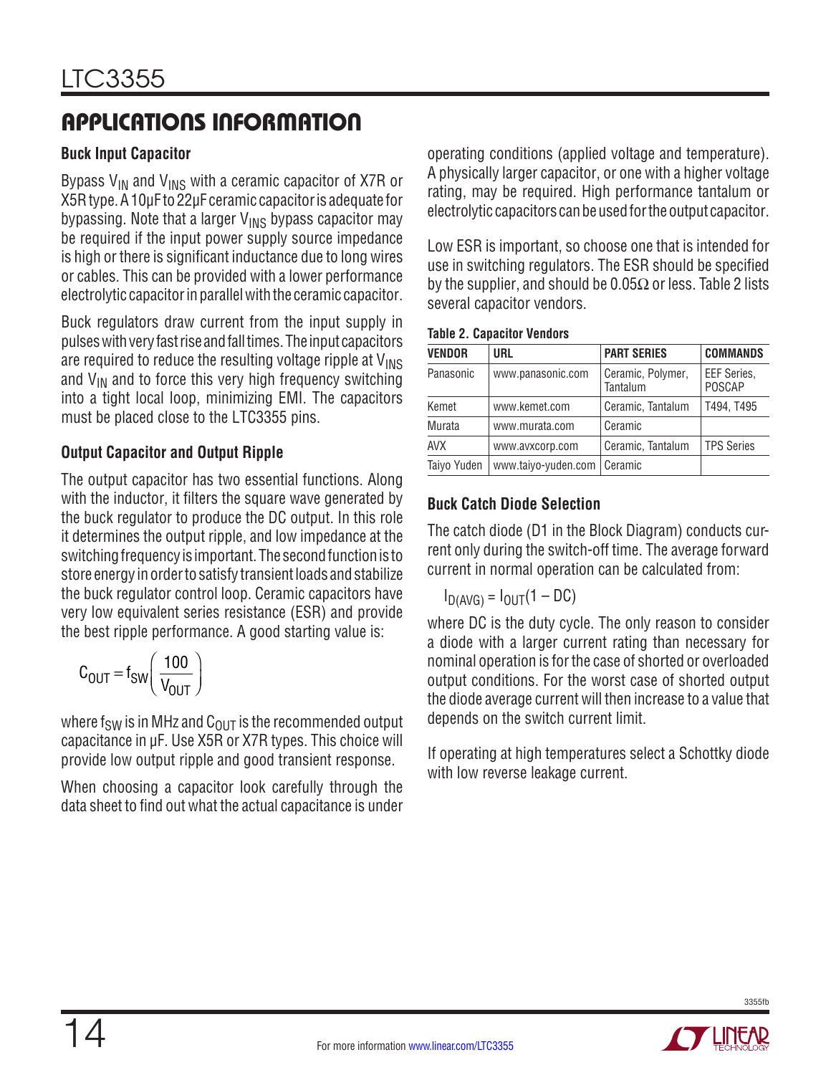#### **Buck Input Capacitor**

Bypass  $V_{IN}$  and  $V_{INS}$  with a ceramic capacitor of X7R or X5Rtype. A 10µF to 22µF ceramic capacitoris adequate for bypassing. Note that a larger  $V_{INS}$  bypass capacitor may be required if the input power supply source impedance is high or there is significant inductance due to long wires or cables. This can be provided with a lower performance electrolytic capacitor in parallel with the ceramic capacitor.

Buck regulators draw current from the input supply in pulseswithveryfastriseandfalltimes. Theinputcapacitors are required to reduce the resulting voltage ripple at  $V_{\text{INS}}$ and  $V_{IN}$  and to force this very high frequency switching into a tight local loop, minimizing EMI. The capacitors must be placed close to the LTC3355 pins.

#### **Output Capacitor and Output Ripple**

The output capacitor has two essential functions. Along with the inductor, it filters the square wave generated by the buck regulator to produce the DC output. In this role it determines the output ripple, and low impedance at the switching frequency is important. The second function is to store energy in order to satisfy transient loads and stabilize the buck regulator control loop. Ceramic capacitors have very low equivalent series resistance (ESR) and provide the best ripple performance. A good starting value is:

$$
C_{\text{OUT}} = f_{\text{SW}} \left( \frac{100}{V_{\text{OUT}}} \right)
$$

where f<sub>SW</sub> is in MHz and  $C_{OUT}$  is the recommended output capacitance in µF. Use X5R or X7R types. This choice will provide low output ripple and good transient response.

When choosing a capacitor look carefully through the data sheet to find out what the actual capacitance is under operating conditions (applied voltage and temperature). A physically larger capacitor, or one with a higher voltage rating, may be required. High performance tantalum or electrolytic capacitors can be used for the output capacitor.

Low ESR is important, so choose one that is intended for use in switching regulators. The ESR should be specified by the supplier, and should be  $0.05\Omega$  or less. Table 2 lists several capacitor vendors.

| <b>Table 2. Capacitor Vendors</b> |  |
|-----------------------------------|--|
|-----------------------------------|--|

| <b>VENDOR</b> | <b>URL</b>          | <b>PART SERIES</b>            | <b>COMMANDS</b>       |
|---------------|---------------------|-------------------------------|-----------------------|
| Panasonic     | www.panasonic.com   | Ceramic, Polymer,<br>Tantalum | EEF Series,<br>POSCAP |
| Kemet         | www.kemet.com       | Ceramic, Tantalum             | T494, T495            |
| Murata        | www.murata.com      | Ceramic                       |                       |
| <b>AVX</b>    | www.avxcorp.com     | Ceramic, Tantalum             | <b>TPS Series</b>     |
| Taiyo Yuden   | www.taiyo-yuden.com | Ceramic                       |                       |

### **Buck Catch Diode Selection**

The catch diode (D1 in the Block Diagram) conducts current only during the switch-off time. The average forward current in normal operation can be calculated from:

$$
I_{D(AVG)} = I_{OUT}(1 - DC)
$$

where DC is the duty cycle. The only reason to consider a diode with a larger current rating than necessary for nominal operation is for the case of shorted or overloaded output conditions. For the worst case of shorted output the diode average current will then increase to a value that depends on the switch current limit.

If operating at high temperatures select a Schottky diode with low reverse leakage current.

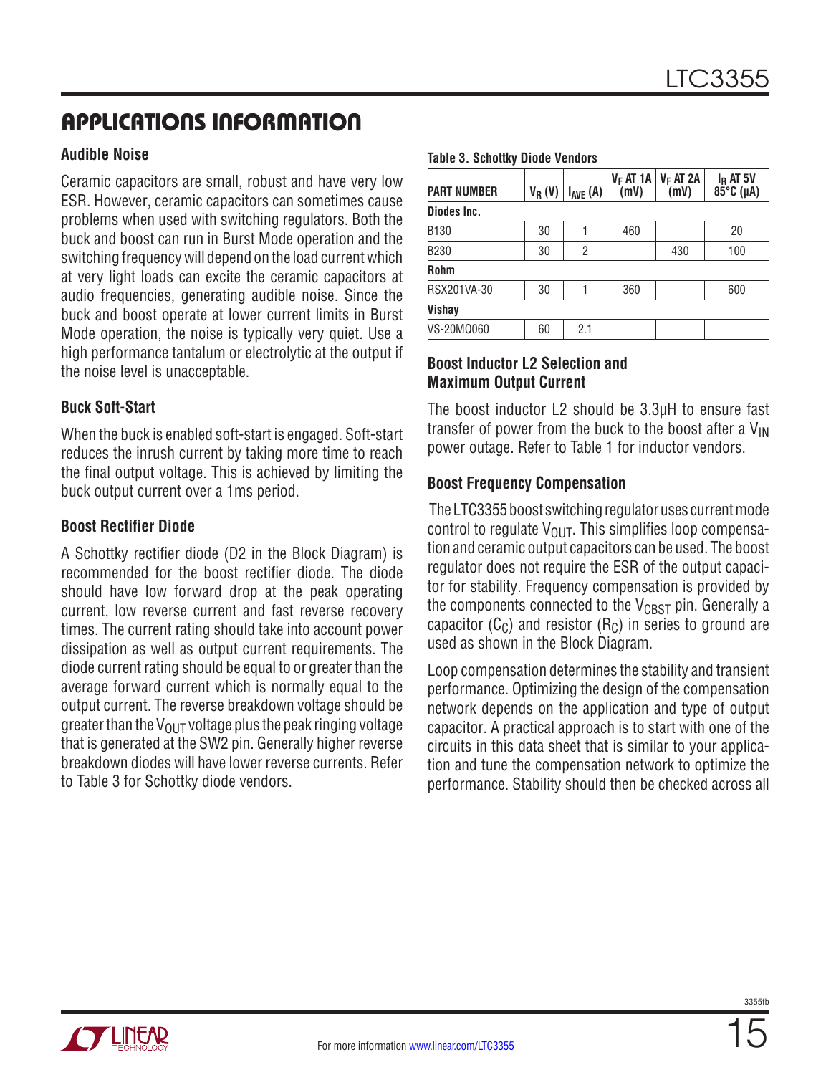#### **Audible Noise**

Ceramic capacitors are small, robust and have very low ESR. However, ceramic capacitors can sometimes cause problems when used with switching regulators. Both the buck and boost can run in Burst Mode operation and the switching frequency will depend on the load current which at very light loads can excite the ceramic capacitors at audio frequencies, generating audible noise. Since the buck and boost operate at lower current limits in Burst Mode operation, the noise is typically very quiet. Use a high performance tantalum or electrolytic at the output if the noise level is unacceptable.

#### **Buck Soft-Start**

When the buck is enabled soft-start is engaged. Soft-start reduces the inrush current by taking more time to reach the final output voltage. This is achieved by limiting the buck output current over a 1ms period.

#### **Boost Rectifier Diode**

A Schottky rectifier diode (D2 in the Block Diagram) is recommended for the boost rectifier diode. The diode should have low forward drop at the peak operating current, low reverse current and fast reverse recovery times. The current rating should take into account power dissipation as well as output current requirements. The diode current rating should be equal to or greater than the average forward current which is normally equal to the output current. The reverse breakdown voltage should be greater than the V<sub>OUT</sub> voltage plus the peak ringing voltage that is generated at the SW2 pin. Generally higher reverse breakdown diodes will have lower reverse currents. Refer to Table 3 for Schottky diode vendors.

#### **Table 3. Schottky Diode Vendors**

| <b>PART NUMBER</b> | $V_R(V)$ | $I_{AVE}$ (A)  | $V_F AT 1A$<br>(mV) | $V_F AT 2A$<br>(mV) | $I_R$ AT 5V<br>85°C (µA) |
|--------------------|----------|----------------|---------------------|---------------------|--------------------------|
| Diodes Inc.        |          |                |                     |                     |                          |
| B <sub>130</sub>   | 30       |                | 460                 |                     | 20                       |
| <b>B230</b>        | 30       | $\overline{2}$ |                     | 430                 | 100                      |
| <b>Rohm</b>        |          |                |                     |                     |                          |
| RSX201VA-30        | 30       |                | 360                 |                     | 600                      |
| Vishay             |          |                |                     |                     |                          |
| VS-20MQ060         | 60       | 2.1            |                     |                     |                          |

#### **Boost Inductor L2 Selection and Maximum Output Current**

The boost inductor L2 should be 3.3µH to ensure fast transfer of power from the buck to the boost after a  $V_{\text{IN}}$ power outage. Refer to Table 1 for inductor vendors.

#### **Boost Frequency Compensation**

The LTC3355 boost switching regulator uses current mode control to regulate  $V_{\text{OUT}}$ . This simplifies loop compensation and ceramic output capacitors can be used. The boost regulator does not require the ESR of the output capacitor for stability. Frequency compensation is provided by the components connected to the  $V_{CRST}$  pin. Generally a capacitor  $(C_C)$  and resistor  $(R_C)$  in series to ground are used as shown in the Block Diagram.

Loop compensation determines the stability and transient performance. Optimizing the design of the compensation network depends on the application and type of output capacitor. A practical approach is to start with one of the circuits in this data sheet that is similar to your application and tune the compensation network to optimize the performance. Stability should then be checked across all

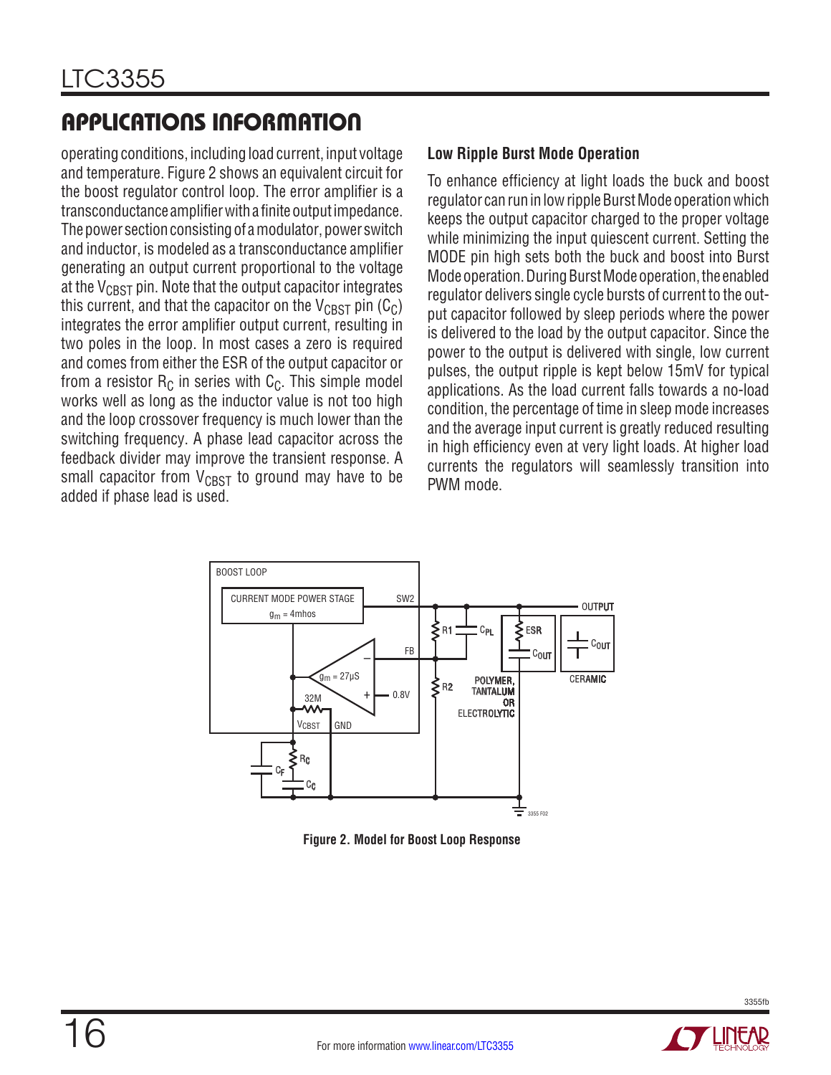operating conditions, including load current, input voltage and temperature. Figure 2 shows an equivalent circuit for the boost regulator control loop. The error amplifier is a transconductance amplifierwitha finiteoutputimpedance. The power section consisting of a modulator, power switch and inductor, is modeled as a transconductance amplifier generating an output current proportional to the voltage at the  $V_{CRST}$  pin. Note that the output capacitor integrates this current, and that the capacitor on the  $V_{CRST}$  pin (C<sub>C</sub>) integrates the error amplifier output current, resulting in two poles in the loop. In most cases a zero is required and comes from either the ESR of the output capacitor or from a resistor  $R_C$  in series with  $C_C$ . This simple model works well as long as the inductor value is not too high and the loop crossover frequency is much lower than the switching frequency. A phase lead capacitor across the feedback divider may improve the transient response. A small capacitor from  $V_{CRST}$  to ground may have to be added if phase lead is used.

#### **Low Ripple Burst Mode Operation**

To enhance efficiency at light loads the buck and boost regulator can run in low ripple Burst Mode operation which keeps the output capacitor charged to the proper voltage while minimizing the input quiescent current. Setting the MODE pin high sets both the buck and boost into Burst Mode operation. During Burst Mode operation, the enabled regulator delivers single cycle bursts of current to the output capacitor followed by sleep periods where the power is delivered to the load by the output capacitor. Since the power to the output is delivered with single, low current pulses, the output ripple is kept below 15mV for typical applications. As the load current falls towards a no-load condition, the percentage of time in sleep mode increases and the average input current is greatly reduced resulting in high efficiency even at very light loads. At higher load currents the regulators will seamlessly transition into PWM mode.



**Figure 2. Model for Boost Loop Response**

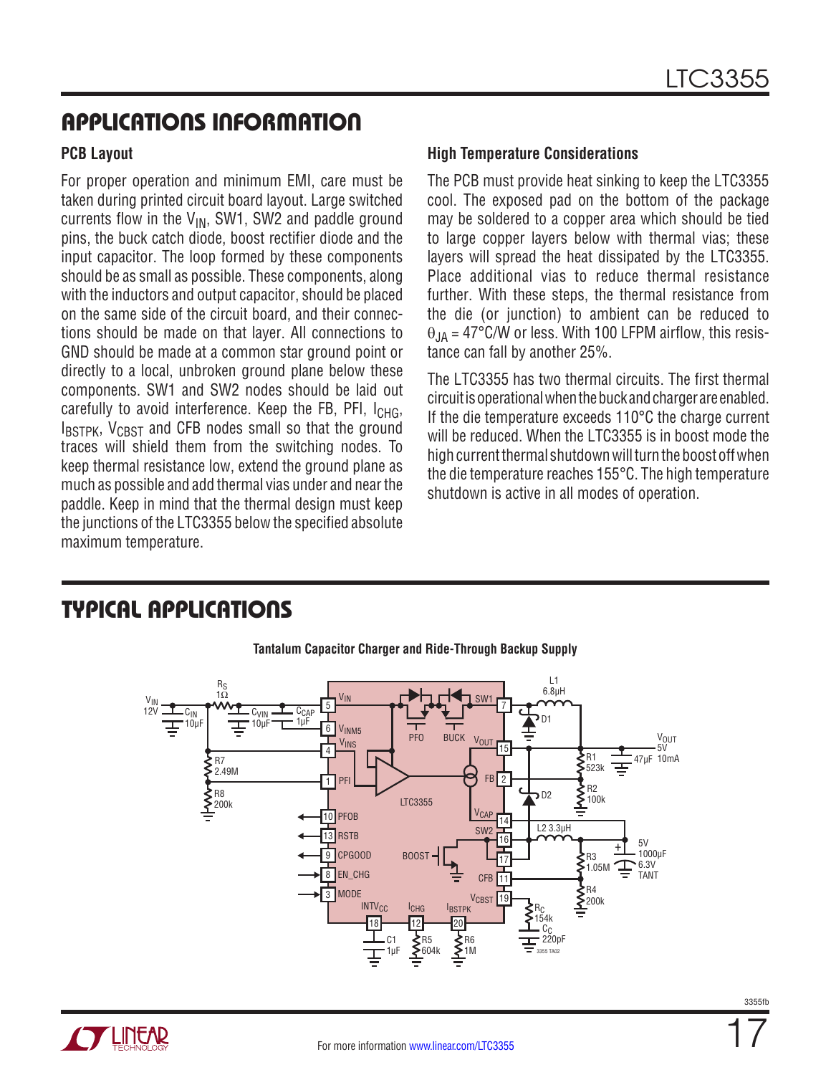#### **PCB Layout**

For proper operation and minimum EMI, care must be taken during printed circuit board layout. Large switched currents flow in the  $V_{IN}$ , SW1, SW2 and paddle ground pins, the buck catch diode, boost rectifier diode and the input capacitor. The loop formed by these components should be as small as possible. These components, along with the inductors and output capacitor, should be placed on the same side of the circuit board, and their connections should be made on that layer. All connections to GND should be made at a common star ground point or directly to a local, unbroken ground plane below these components. SW1 and SW2 nodes should be laid out carefully to avoid interference. Keep the FB, PFI,  $I_{CHG}$ ,  $I_{\text{RSTPK}}$ ,  $V_{\text{CRST}}$  and CFB nodes small so that the ground traces will shield them from the switching nodes. To keep thermal resistance low, extend the ground plane as much as possible and add thermal vias under and nearthe paddle. Keep in mind that the thermal design must keep the junctions of the LTC3355 below the specified absolute maximum temperature.

#### **High Temperature Considerations**

The PCB must provide heat sinking to keep the LTC3355 cool. The exposed pad on the bottom of the package may be soldered to a copper area which should be tied to large copper layers below with thermal vias; these layers will spread the heat dissipated by the LTC3355. Place additional vias to reduce thermal resistance further. With these steps, the thermal resistance from the die (or junction) to ambient can be reduced to  $\theta_{JA}$  = 47°C/W or less. With 100 LFPM airflow, this resistance can fall by another 25%.

The LTC3355 has two thermal circuits. The first thermal circuitisoperationalwhenthebuckandchargerareenabled. If the die temperature exceeds 110°C the charge current will be reduced. When the LTC3355 is in boost mode the high current thermal shutdown will turn the boost off when the die temperature reaches 155°C. The high temperature shutdown is active in all modes of operation.



### TYPICAL APPLICATIONS

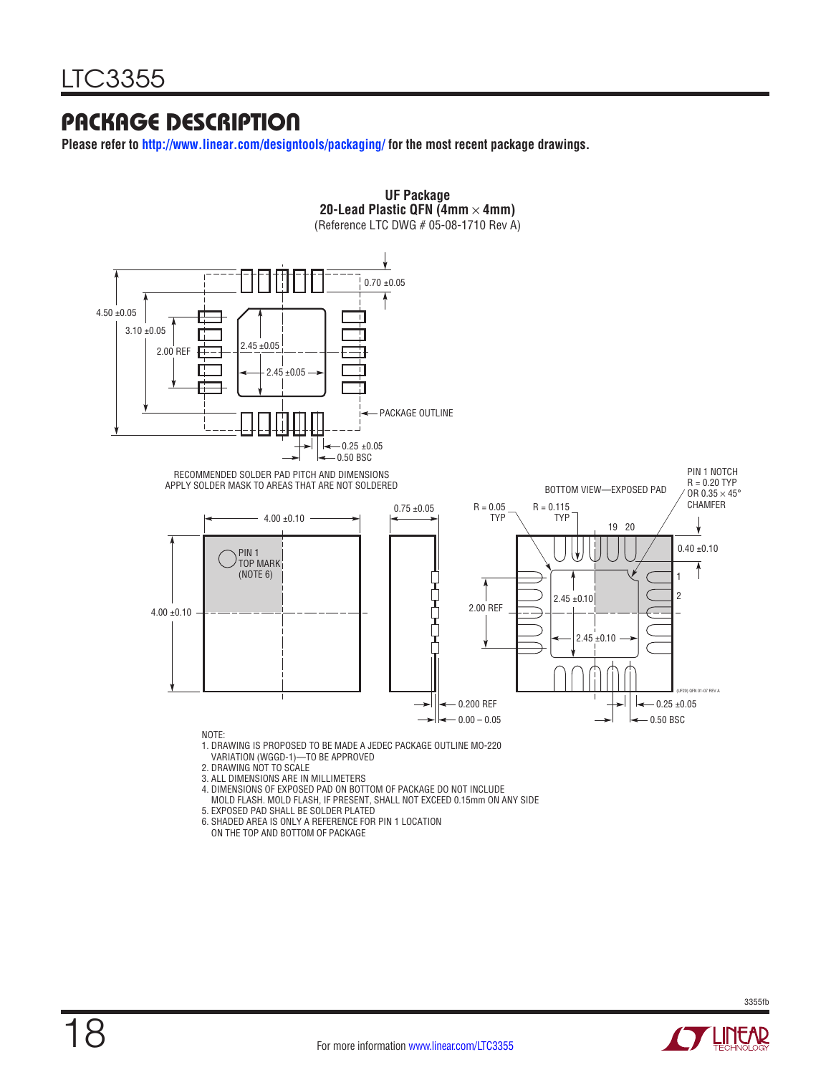### PACKAGE DESCRIPTION

**Please refer to http://www.linear.com/designtools/packaging/ for the most recent package drawings.**



- 5. EXPOSED PAD SHALL BE SOLDER PLATED
- 
- 6. SHADED AREA IS ONLY A REFERENCE FOR PIN 1 LOCATION ON THE TOP AND BOTTOM OF PACKAGE

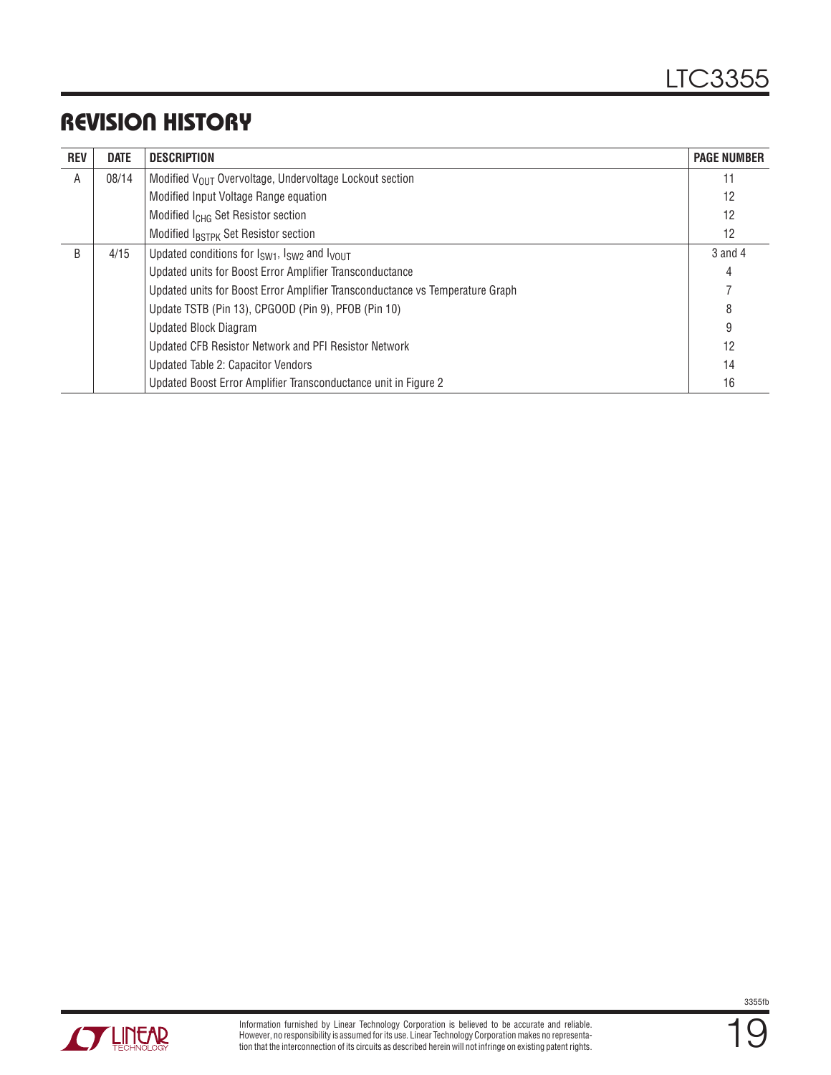### REVISION HISTORY

| <b>REV</b> | <b>DATE</b> | <b>DESCRIPTION</b>                                                               | <b>PAGE NUMBER</b> |
|------------|-------------|----------------------------------------------------------------------------------|--------------------|
| A          | 08/14       | Modified V <sub>OUT</sub> Overvoltage, Undervoltage Lockout section              | 11                 |
|            |             | Modified Input Voltage Range equation                                            | 12                 |
|            |             | Modified I <sub>CHG</sub> Set Resistor section                                   | 12                 |
|            |             | Modified IBSTPK Set Resistor section                                             | 12                 |
| B          | 4/15        | Updated conditions for I <sub>SW1</sub> , I <sub>SW2</sub> and I <sub>VOUT</sub> | $3$ and $4$        |
|            |             | Updated units for Boost Error Amplifier Transconductance                         | 4                  |
|            |             | Updated units for Boost Error Amplifier Transconductance vs Temperature Graph    |                    |
|            |             | Update TSTB (Pin 13), CPGOOD (Pin 9), PFOB (Pin 10)                              | 8                  |
|            |             | <b>Updated Block Diagram</b>                                                     | 9                  |
|            |             | Updated CFB Resistor Network and PFI Resistor Network                            | 12                 |
|            |             | Updated Table 2: Capacitor Vendors                                               | 14                 |
|            |             | Updated Boost Error Amplifier Transconductance unit in Figure 2                  | 16                 |